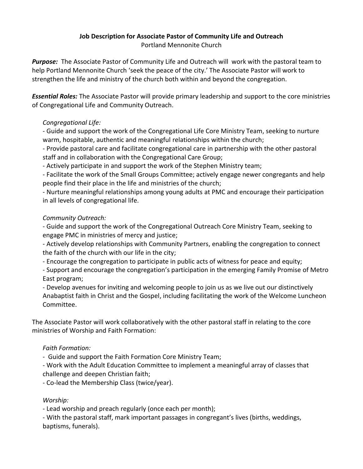### **Job Description for Associate Pastor of Community Life and Outreach** Portland Mennonite Church

*Purpose:* The Associate Pastor of Community Life and Outreach will work with the pastoral team to help Portland Mennonite Church 'seek the peace of the city.' The Associate Pastor will work to strengthen the life and ministry of the church both within and beyond the congregation.

*Essential Roles:* The Associate Pastor will provide primary leadership and support to the core ministries of Congregational Life and Community Outreach.

### *Congregational Life:*

- Guide and support the work of the Congregational Life Core Ministry Team, seeking to nurture warm, hospitable, authentic and meaningful relationships within the church;

- Provide pastoral care and facilitate congregational care in partnership with the other pastoral staff and in collaboration with the Congregational Care Group;

- Actively participate in and support the work of the Stephen Ministry team;

- Facilitate the work of the Small Groups Committee; actively engage newer congregants and help people find their place in the life and ministries of the church;

- Nurture meaningful relationships among young adults at PMC and encourage their participation in all levels of congregational life.

### *Community Outreach:*

- Guide and support the work of the Congregational Outreach Core Ministry Team, seeking to engage PMC in ministries of mercy and justice;

- Actively develop relationships with Community Partners, enabling the congregation to connect the faith of the church with our life in the city;

- Encourage the congregation to participate in public acts of witness for peace and equity;

- Support and encourage the congregation's participation in the emerging Family Promise of Metro East program;

- Develop avenues for inviting and welcoming people to join us as we live out our distinctively Anabaptist faith in Christ and the Gospel, including facilitating the work of the Welcome Luncheon Committee.

The Associate Pastor will work collaboratively with the other pastoral staff in relating to the core ministries of Worship and Faith Formation:

# *Faith Formation:*

- Guide and support the Faith Formation Core Ministry Team;

- Work with the Adult Education Committee to implement a meaningful array of classes that challenge and deepen Christian faith;

- Co-lead the Membership Class (twice/year).

# *Worship:*

- Lead worship and preach regularly (once each per month);

- With the pastoral staff, mark important passages in congregant's lives (births, weddings, baptisms, funerals).